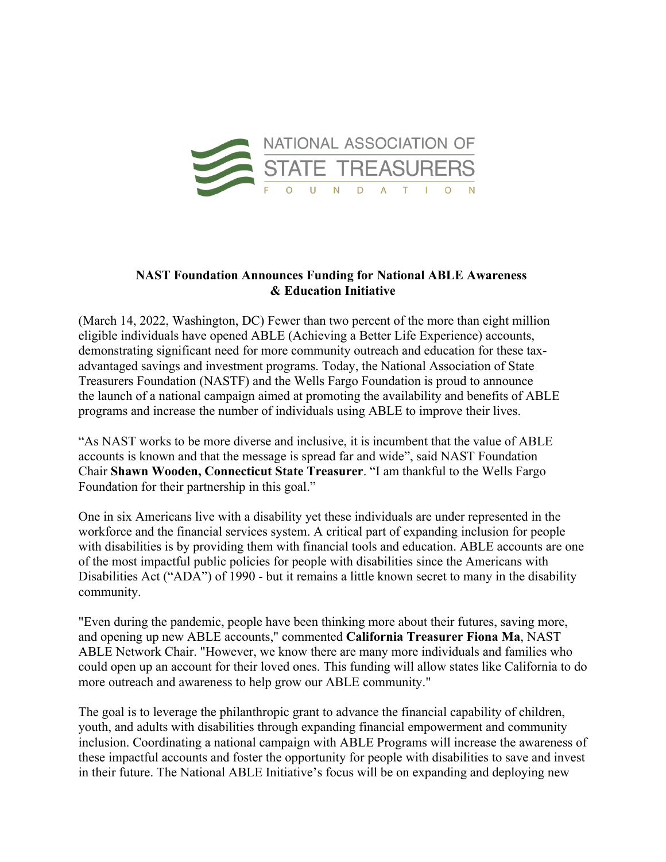

## **NAST Foundation Announces Funding for National ABLE Awareness & Education Initiative**

(March 14, 2022, Washington, DC) Fewer than two percent of the more than eight million eligible individuals have opened ABLE (Achieving a Better Life Experience) accounts, demonstrating significant need for more community outreach and education for these taxadvantaged savings and investment programs. Today, the National Association of State Treasurers Foundation (NASTF) and the Wells Fargo Foundation is proud to announce the launch of a national campaign aimed at promoting the availability and benefits of ABLE programs and increase the number of individuals using ABLE to improve their lives.

"As NAST works to be more diverse and inclusive, it is incumbent that the value of ABLE accounts is known and that the message is spread far and wide", said NAST Foundation Chair **Shawn Wooden, Connecticut State Treasurer**. "I am thankful to the Wells Fargo Foundation for their partnership in this goal."

One in six Americans live with a disability yet these individuals are under represented in the workforce and the financial services system. A critical part of expanding inclusion for people with disabilities is by providing them with financial tools and education. ABLE accounts are one of the most impactful public policies for people with disabilities since the Americans with Disabilities Act ("ADA") of 1990 - but it remains a little known secret to many in the disability community.

"Even during the pandemic, people have been thinking more about their futures, saving more, and opening up new ABLE accounts," commented **California Treasurer Fiona Ma**, NAST ABLE Network Chair. "However, we know there are many more individuals and families who could open up an account for their loved ones. This funding will allow states like California to do more outreach and awareness to help grow our ABLE community."

The goal is to leverage the philanthropic grant to advance the financial capability of children, youth, and adults with disabilities through expanding financial empowerment and community inclusion. Coordinating a national campaign with ABLE Programs will increase the awareness of these impactful accounts and foster the opportunity for people with disabilities to save and invest in their future. The National ABLE Initiative's focus will be on expanding and deploying new